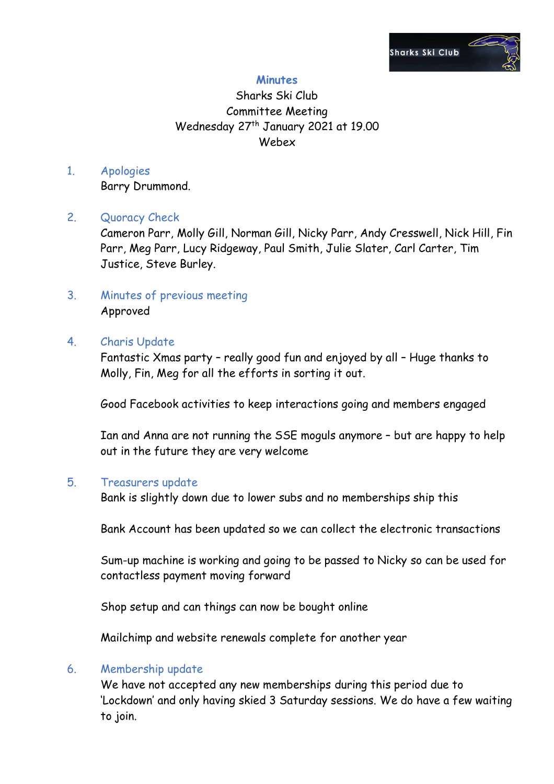

## **Minutes**

# Sharks Ski Club Committee Meeting Wednesday 27<sup>th</sup> January 2021 at 19.00 Webex

# 1. Apologies

Barry Drummond.

### 2. Quoracy Check

Cameron Parr, Molly Gill, Norman Gill, Nicky Parr, Andy Cresswell, Nick Hill, Fin Parr, Meg Parr, Lucy Ridgeway, Paul Smith, Julie Slater, Carl Carter, Tim Justice, Steve Burley.

3. Minutes of previous meeting Approved

### 4. Charis Update

Fantastic Xmas party – really good fun and enjoyed by all – Huge thanks to Molly, Fin, Meg for all the efforts in sorting it out.

Good Facebook activities to keep interactions going and members engaged

Ian and Anna are not running the SSE moguls anymore – but are happy to help out in the future they are very welcome

#### 5. Treasurers update

Bank is slightly down due to lower subs and no memberships ship this

Bank Account has been updated so we can collect the electronic transactions

Sum-up machine is working and going to be passed to Nicky so can be used for contactless payment moving forward

Shop setup and can things can now be bought online

Mailchimp and website renewals complete for another year

#### 6. Membership update

We have not accepted any new memberships during this period due to 'Lockdown' and only having skied 3 Saturday sessions. We do have a few waiting to join.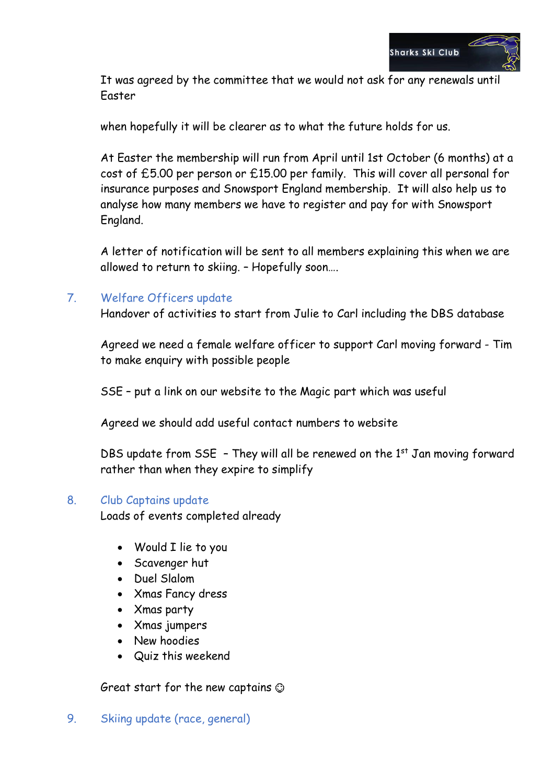

It was agreed by the committee that we would not ask for any renewals until Easter

when hopefully it will be clearer as to what the future holds for us.

At Easter the membership will run from April until 1st October (6 months) at a cost of £5.00 per person or £15.00 per family. This will cover all personal for insurance purposes and Snowsport England membership. It will also help us to analyse how many members we have to register and pay for with Snowsport England.

A letter of notification will be sent to all members explaining this when we are allowed to return to skiing. – Hopefully soon….

## 7. Welfare Officers update

Handover of activities to start from Julie to Carl including the DBS database

Agreed we need a female welfare officer to support Carl moving forward - Tim to make enquiry with possible people

SSE – put a link on our website to the Magic part which was useful

Agreed we should add useful contact numbers to website

DBS update from  $SSE - They$  will all be renewed on the 1st Jan moving forward rather than when they expire to simplify

#### 8. Club Captains update

Loads of events completed already

- Would I lie to you
- Scavenger hut
- Duel Slalom
- Xmas Fancy dress
- Xmas party
- Xmas jumpers
- New hoodies
- Quiz this weekend

Great start for the new captains

9. Skiing update (race, general)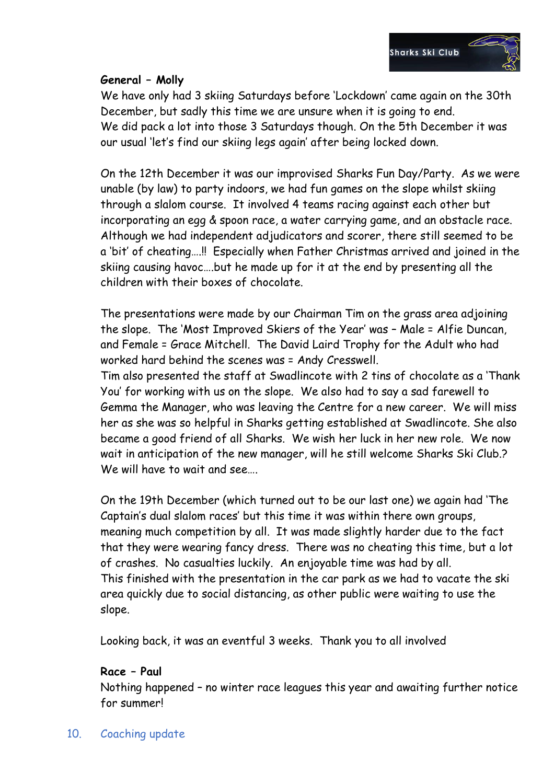### **General – Molly**

We have only had 3 skiing Saturdays before 'Lockdown' came again on the 30th December, but sadly this time we are unsure when it is going to end. We did pack a lot into those 3 Saturdays though. On the 5th December it was our usual 'let's find our skiing legs again' after being locked down.

On the 12th December it was our improvised Sharks Fun Day/Party. As we were unable (by law) to party indoors, we had fun games on the slope whilst skiing through a slalom course. It involved 4 teams racing against each other but incorporating an egg & spoon race, a water carrying game, and an obstacle race. Although we had independent adjudicators and scorer, there still seemed to be a 'bit' of cheating….!! Especially when Father Christmas arrived and joined in the skiing causing havoc….but he made up for it at the end by presenting all the children with their boxes of chocolate.

The presentations were made by our Chairman Tim on the grass area adjoining the slope. The 'Most Improved Skiers of the Year' was – Male = Alfie Duncan, and Female = Grace Mitchell. The David Laird Trophy for the Adult who had worked hard behind the scenes was = Andy Cresswell.

Tim also presented the staff at Swadlincote with 2 tins of chocolate as a 'Thank You' for working with us on the slope. We also had to say a sad farewell to Gemma the Manager, who was leaving the Centre for a new career. We will miss her as she was so helpful in Sharks getting established at Swadlincote. She also became a good friend of all Sharks. We wish her luck in her new role. We now wait in anticipation of the new manager, will he still welcome Sharks Ski Club.? We will have to wait and see….

On the 19th December (which turned out to be our last one) we again had 'The Captain's dual slalom races' but this time it was within there own groups, meaning much competition by all. It was made slightly harder due to the fact that they were wearing fancy dress. There was no cheating this time, but a lot of crashes. No casualties luckily. An enjoyable time was had by all. This finished with the presentation in the car park as we had to vacate the ski area quickly due to social distancing, as other public were waiting to use the slope.

Looking back, it was an eventful 3 weeks. Thank you to all involved

#### **Race – Paul**

Nothing happened – no winter race leagues this year and awaiting further notice for summer!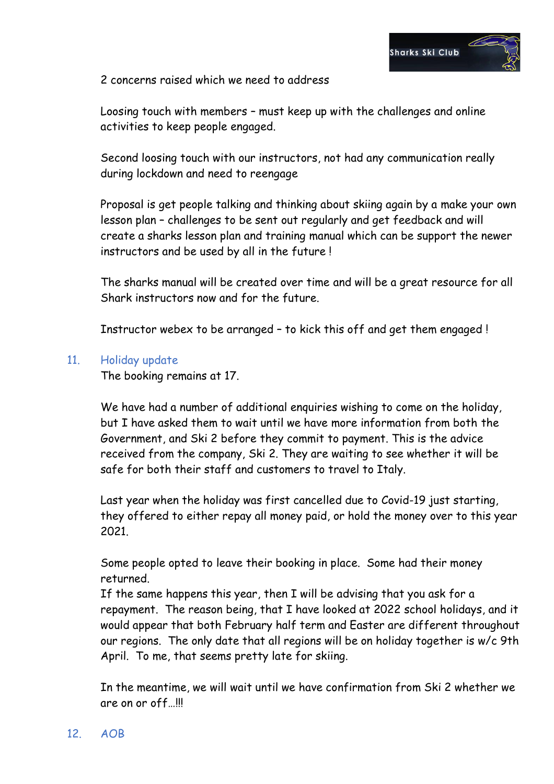

2 concerns raised which we need to address

Loosing touch with members – must keep up with the challenges and online activities to keep people engaged.

Second loosing touch with our instructors, not had any communication really during lockdown and need to reengage

Proposal is get people talking and thinking about skiing again by a make your own lesson plan – challenges to be sent out regularly and get feedback and will create a sharks lesson plan and training manual which can be support the newer instructors and be used by all in the future !

The sharks manual will be created over time and will be a great resource for all Shark instructors now and for the future.

Instructor webex to be arranged – to kick this off and get them engaged !

#### 11. Holiday update

The booking remains at 17.

We have had a number of additional enquiries wishing to come on the holiday, but I have asked them to wait until we have more information from both the Government, and Ski 2 before they commit to payment. This is the advice received from the company, Ski 2. They are waiting to see whether it will be safe for both their staff and customers to travel to Italy.

Last year when the holiday was first cancelled due to Covid-19 just starting, they offered to either repay all money paid, or hold the money over to this year 2021.

Some people opted to leave their booking in place. Some had their money returned.

If the same happens this year, then I will be advising that you ask for a repayment. The reason being, that I have looked at 2022 school holidays, and it would appear that both February half term and Easter are different throughout our regions. The only date that all regions will be on holiday together is w/c 9th April. To me, that seems pretty late for skiing.

In the meantime, we will wait until we have confirmation from Ski 2 whether we are on or off…!!!

#### 12. AOB